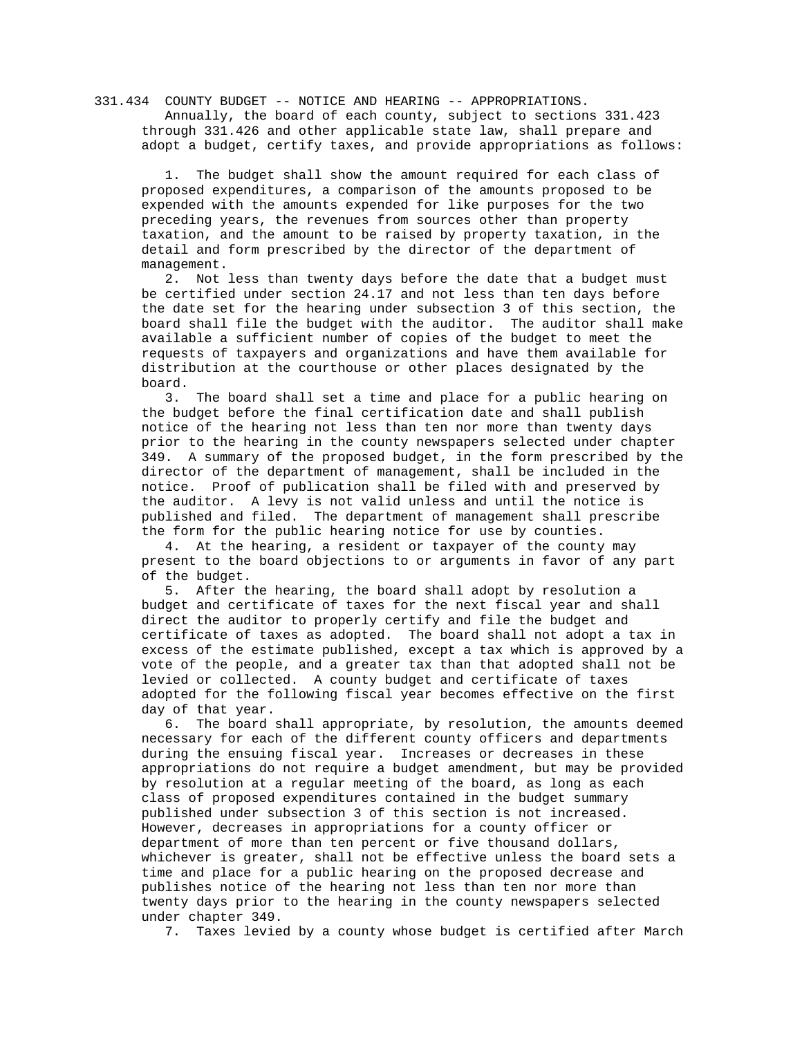331.434 COUNTY BUDGET -- NOTICE AND HEARING -- APPROPRIATIONS. Annually, the board of each county, subject to sections 331.423 through 331.426 and other applicable state law, shall prepare and adopt a budget, certify taxes, and provide appropriations as follows:

The budget shall show the amount required for each class of proposed expenditures, a comparison of the amounts proposed to be expended with the amounts expended for like purposes for the two preceding years, the revenues from sources other than property taxation, and the amount to be raised by property taxation, in the detail and form prescribed by the director of the department of management.

 2. Not less than twenty days before the date that a budget must be certified under section 24.17 and not less than ten days before the date set for the hearing under subsection 3 of this section, the board shall file the budget with the auditor. The auditor shall make available a sufficient number of copies of the budget to meet the requests of taxpayers and organizations and have them available for distribution at the courthouse or other places designated by the board.

 3. The board shall set a time and place for a public hearing on the budget before the final certification date and shall publish notice of the hearing not less than ten nor more than twenty days prior to the hearing in the county newspapers selected under chapter 349. A summary of the proposed budget, in the form prescribed by the director of the department of management, shall be included in the notice. Proof of publication shall be filed with and preserved by the auditor. A levy is not valid unless and until the notice is published and filed. The department of management shall prescribe the form for the public hearing notice for use by counties.

 4. At the hearing, a resident or taxpayer of the county may present to the board objections to or arguments in favor of any part of the budget.

 5. After the hearing, the board shall adopt by resolution a budget and certificate of taxes for the next fiscal year and shall direct the auditor to properly certify and file the budget and certificate of taxes as adopted. The board shall not adopt a tax in excess of the estimate published, except a tax which is approved by a vote of the people, and a greater tax than that adopted shall not be levied or collected. A county budget and certificate of taxes adopted for the following fiscal year becomes effective on the first day of that year.

 6. The board shall appropriate, by resolution, the amounts deemed necessary for each of the different county officers and departments during the ensuing fiscal year. Increases or decreases in these appropriations do not require a budget amendment, but may be provided by resolution at a regular meeting of the board, as long as each class of proposed expenditures contained in the budget summary published under subsection 3 of this section is not increased. However, decreases in appropriations for a county officer or department of more than ten percent or five thousand dollars, whichever is greater, shall not be effective unless the board sets a time and place for a public hearing on the proposed decrease and publishes notice of the hearing not less than ten nor more than twenty days prior to the hearing in the county newspapers selected under chapter 349.

7. Taxes levied by a county whose budget is certified after March